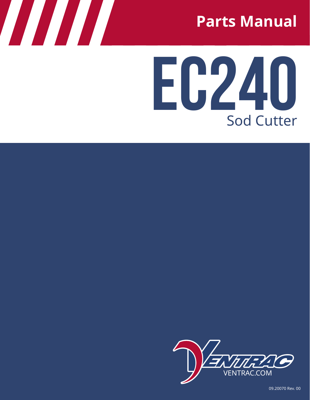

# **EC240** Sod Cutter



09.20070 Rev. 00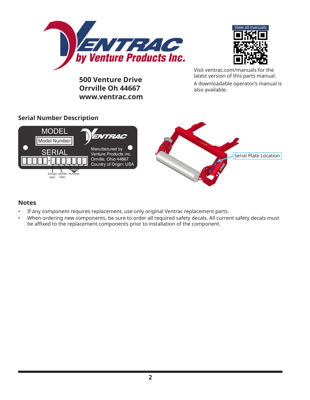



**500 Venture Drive Orrville Oh 44667 www.ventrac.com** Visit ventrac.com/manuals for the latest version of this parts manual. A downloadable operator's manual is also available.

#### **Serial Number Description**



#### **Notes**

- If any component requires replacement, use only original Ventrac replacement parts.
- When ordering new components, be sure to order all required safety decals. All current safety decals must be affixed to the replacement components prior to installation of the component.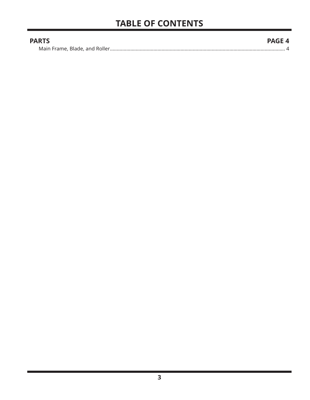| <b>PARTS</b> | <b>PAGE 4</b> |
|--------------|---------------|
|              |               |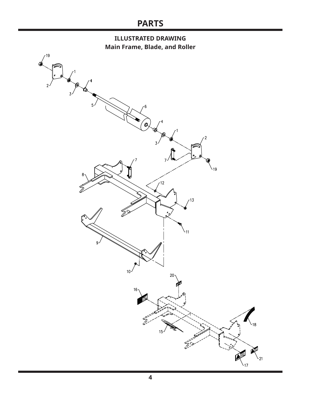## **PARTS**